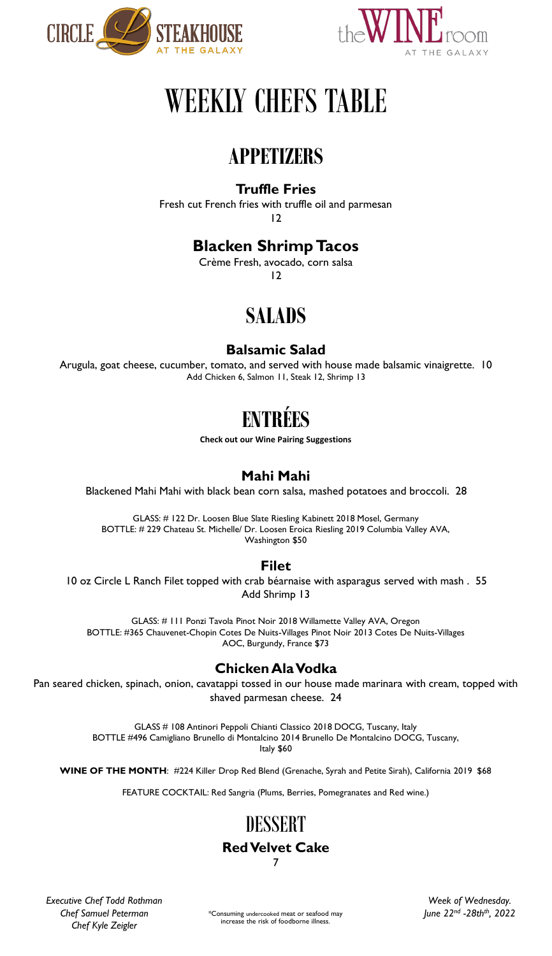



# WEEKLY CHEFS TABLE

# **APPETIZERS**

# **Truffle Fries**

Fresh cut French fries with truffle oil and parmesan 12

# **Blacken Shrimp Tacos**

Crème Fresh, avocado, corn salsa 12

# **SALADS**

# **Balsamic Salad**

Arugula, goat cheese, cucumber, tomato, and served with house made balsamic vinaigrette. 10 Add Chicken 6, Salmon 11, Steak 12, Shrimp 13

# **ENTR**

**Check out our Wine Pairing Suggestions**

# **Mahi Mahi**

Blackened Mahi Mahi with black bean corn salsa, mashed potatoes and broccoli. 28

GLASS: # 122 Dr. Loosen Blue Slate Riesling Kabinett 2018 Mosel, Germany BOTTLE: # 229 Chateau St. Michelle/ Dr. Loosen Eroica Riesling 2019 Columbia Valley AVA, Washington \$50

# **Filet**

10 oz Circle L Ranch Filet topped with crab béarnaise with asparagus served with mash . 55 Add Shrimp 13

GLASS: # 111 Ponzi Tavola Pinot Noir 2018 Willamette Valley AVA, Oregon BOTTLE: #365 Chauvenet-Chopin Cotes De Nuits-Villages Pinot Noir 2013 Cotes De Nuits-Villages AOC, Burgundy, France \$73

# **Chicken Ala Vodka**

Pan seared chicken, spinach, onion, cavatappi tossed in our house made marinara with cream, topped with shaved parmesan cheese. 24

> GLASS # 108 Antinori Peppoli Chianti Classico 2018 DOCG, Tuscany, Italy BOTTLE #496 Camigliano Brunello di Montalcino 2014 Brunello De Montalcino DOCG, Tuscany, Italy \$60

**WINE OF THE MONTH**: #224 Killer Drop Red Blend (Grenache, Syrah and Petite Sirah), California 2019 \$68

FEATURE COCKTAIL: Red Sangria (Plums, Berries, Pomegranates and Red wine.)

# DESSERT **Red Velvet Cake**

7

*Executive Chef Todd Rothman Chef Samuel Peterman Chef Kyle Zeigler*

\*Consuming undercooked meat or seafood may increase the risk of foodborne illness.

*Week of Wednesday. June 22nd -28thth, 2022*